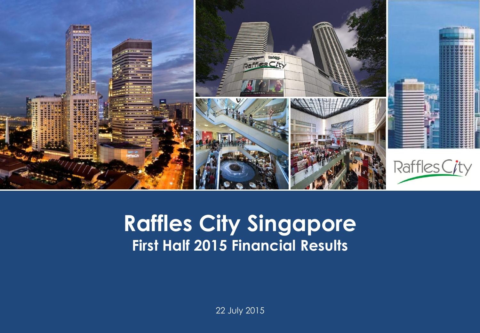

#### **Capital Raffles City Singapore Presentation Template First Half 2015 Financial Results**

22 July 2015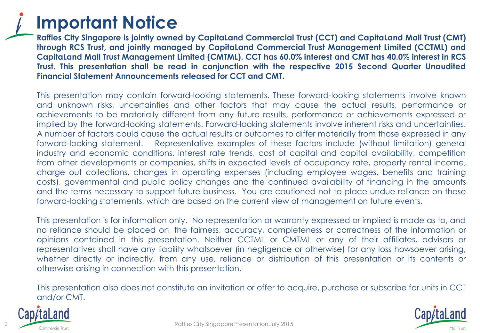

**Raffles City Singapore is jointly owned by CapitaLand Commercial Trust (CCT) and CapitaLand Mall Trust (CMT) through RCS Trust, and jointly managed by CapitaLand Commercial Trust Management Limited (CCTML) and** Capitaland Mall Trust Management Limited (CMTML). CCT has 60.0% interest and CMT has 40.0% interest in RCS **Trust. This presentation shall be read in conjunction with the respective 2015 Second Quarter Unaudited Financial Statement Announcements released for CCT and CMT.**

This presentation may contain forward-looking statements. These forward-looking statements involve known and unknown risks, uncertainties and other factors that may cause the actual results, performance or achievements to be materially different from any future results, performance or achievements expressed or implied by the forward-looking statements. Forward-looking statements involve inherent risks and uncertainties. A number of factors could cause the actual results or outcomes to differ materially from those expressed in any forward-looking statement. Representative examples of these factors include (without limitation) general industry and economic conditions, interest rate trends, cost of capital and capital availability, competition from other developments or companies, shifts in expected levels of occupancy rate, property rental income, charge out collections, changes in operating expenses (including employee wages, benefits and training costs), governmental and public policy changes and the continued availability of financing in the amounts and the terms necessary to support future business. You are cautioned not to place undue reliance on these forward-looking statements, which are based on the current view of management on future events.

This presentation is for information only. No representation or warranty expressed or implied is made as to, and no reliance should be placed on, the fairness, accuracy, completeness or correctness of the information or opinions contained in this presentation. Neither CCTML or CMTML or any of their affiliates, advisers or representatives shall have any liability whatsoever (in negligence or otherwise) for any loss howsoever arising, whether directly or indirectly, from any use, reliance or distribution of this presentation or its contents or otherwise arising in connection with this presentation.

This presentation also does not constitute an invitation or offer to acquire, purchase or subscribe for units in CCT and/or CMT.



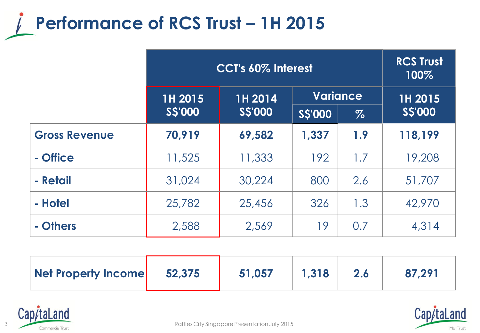

|                      | CCT's 60% Interest |                            |                | <b>RCS Trust</b><br>100% |                |
|----------------------|--------------------|----------------------------|----------------|--------------------------|----------------|
|                      | 1H 2015            | <b>Variance</b><br>1H 2014 |                |                          | 1H 2015        |
|                      | <b>S\$'000</b>     | <b>S\$'000</b>             | <b>S\$'000</b> | $\%$                     | <b>S\$'000</b> |
| <b>Gross Revenue</b> | 70,919             | 69,582                     | 1,337          | 1.9                      | 118,199        |
| - Office             | 11,525             | 11,333                     | 192            | 1.7                      | 19,208         |
| - Retail             | 31,024             | 30,224                     | 800            | 2.6                      | 51,707         |
| - Hotel              | 25,782             | 25,456                     | 326            | 1.3                      | 42,970         |
| - Others             | 2,588              | 2,569                      | 19             | 0.7                      | 4,314          |

| 52,375<br>Net Property Income | 51,057 | 1,318 |  | 87,291 |
|-------------------------------|--------|-------|--|--------|
|-------------------------------|--------|-------|--|--------|



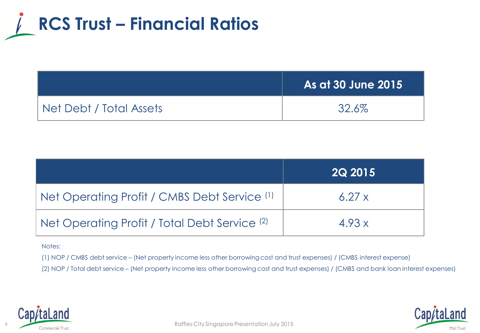

|                         | As at 30 June 2015 |
|-------------------------|--------------------|
| Net Debt / Total Assets | 32.6%              |

|                                                          | <b>2Q 2015</b> |
|----------------------------------------------------------|----------------|
| Net Operating Profit / CMBS Debt Service (1)             | 6.27x          |
| Net Operating Profit / Total Debt Service <sup>(2)</sup> | 4.93x          |

#### Notes:

(1) NOP / CMBS debt service – (Net property income less other borrowing cost and trust expenses) / (CMBS interest expense)

(2) NOP / Total debt service – (Net property income less other borrowing cost and trust expenses) / (CMBS and bank loan interest expenses)



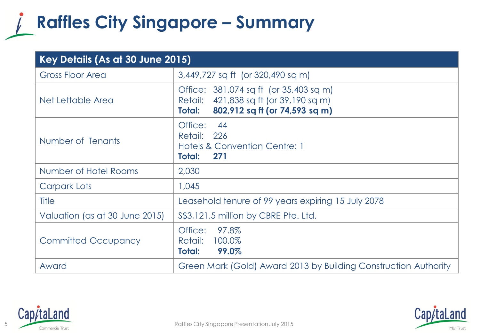### **Raffles City Singapore – Summary**

| Key Details (As at 30 June 2015) |                                                                                                                              |  |
|----------------------------------|------------------------------------------------------------------------------------------------------------------------------|--|
| <b>Gross Floor Area</b>          | 3,449,727 sq ft (or 320,490 sq m)                                                                                            |  |
| Net Lettable Area                | Office: 381,074 sq ft (or 35,403 sq m)<br>Retail: 421,838 sq ft (or 39,190 sq m)<br>802,912 sq ft (or 74,593 sq m)<br>Total: |  |
| Number of Tenants                | Office:<br>44<br>Retail:<br>226<br>Hotels & Convention Centre: 1<br>Total:<br>271                                            |  |
| Number of Hotel Rooms            | 2,030                                                                                                                        |  |
| <b>Carpark Lots</b>              | 1,045                                                                                                                        |  |
| Title                            | Leasehold tenure of 99 years expiring 15 July 2078                                                                           |  |
| Valuation (as at 30 June 2015)   | \$\$3,121.5 million by CBRE Pte. Ltd.                                                                                        |  |
| <b>Committed Occupancy</b>       | 97.8%<br>Office:<br>100.0%<br>Retail:<br>99.0%<br>Total:                                                                     |  |
| Award                            | Green Mark (Gold) Award 2013 by Building Construction Authority                                                              |  |



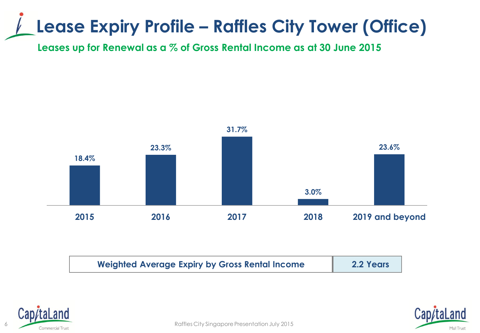## **Lease Expiry Profile – Raffles City Tower (Office)**

**Leases up for Renewal as a % of Gross Rental Income as at 30 June 2015**



| <b>Weighted Average Expiry by Gross Rental Income</b> | 2.2 Years |
|-------------------------------------------------------|-----------|
|-------------------------------------------------------|-----------|



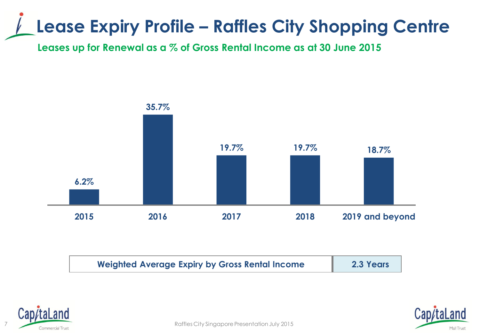## **Lease Expiry Profile – Raffles City Shopping Centre**

**Leases up for Renewal as a % of Gross Rental Income as at 30 June 2015**



| <b>Weighted Average Expiry by Gross Rental Income</b> | 2.3 Years |
|-------------------------------------------------------|-----------|
|-------------------------------------------------------|-----------|





Raffles City Singapore Presentation July 2015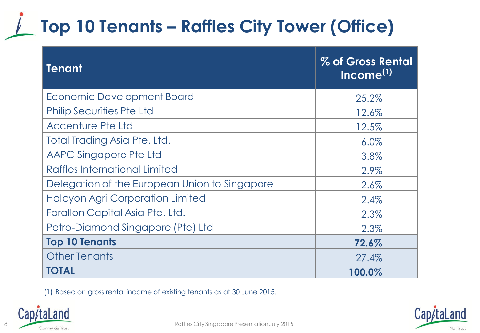## **Top 10 Tenants – Raffles City Tower (Office)**

| <b>Tenant</b>                                 | % of Gross Rental<br>Income <sup>(1)</sup> |
|-----------------------------------------------|--------------------------------------------|
| Economic Development Board                    | 25.2%                                      |
| <b>Philip Securities Pte Ltd</b>              | 12.6%                                      |
| <b>Accenture Pte Ltd</b>                      | 12.5%                                      |
| Total Trading Asia Pte. Ltd.                  | 6.0%                                       |
| AAPC Singapore Pte Ltd                        | 3.8%                                       |
| Raffles International Limited                 | 2.9%                                       |
| Delegation of the European Union to Singapore | 2.6%                                       |
| <b>Halcyon Agri Corporation Limited</b>       | 2.4%                                       |
| Farallon Capital Asia Pte. Ltd.               | 2.3%                                       |
| Petro-Diamond Singapore (Pte) Ltd             | 2.3%                                       |
| <b>Top 10 Tenants</b>                         | 72.6%                                      |
| <b>Other Tenants</b>                          | 27.4%                                      |
| <b>TOTAL</b>                                  | 100.0%                                     |

(1) Based on gross rental income of existing tenants as at 30 June 2015.



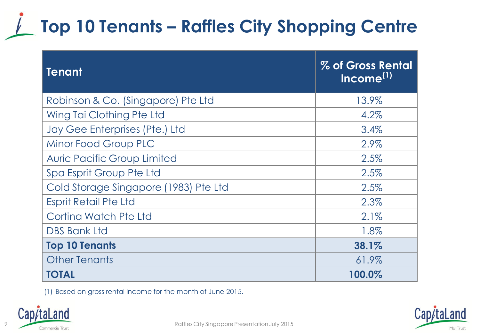## **Top 10 Tenants – Raffles City Shopping Centre**

| <b>Tenant</b>                         | % of Gross Rental<br>Income <sup>(1)</sup> |
|---------------------------------------|--------------------------------------------|
| Robinson & Co. (Singapore) Pte Ltd    | 13.9%                                      |
| Wing Tai Clothing Pte Ltd             | 4.2%                                       |
| Jay Gee Enterprises (Pte.) Ltd        | 3.4%                                       |
| Minor Food Group PLC                  | 2.9%                                       |
| <b>Auric Pacific Group Limited</b>    | 2.5%                                       |
| Spa Esprit Group Pte Ltd              | 2.5%                                       |
| Cold Storage Singapore (1983) Pte Ltd | 2.5%                                       |
| <b>Esprit Retail Pte Ltd</b>          | 2.3%                                       |
| Cortina Watch Pte Ltd                 | $2.1\%$                                    |
| <b>DBS Bank Ltd</b>                   | 1.8%                                       |
| <b>Top 10 Tenants</b>                 | 38.1%                                      |
| <b>Other Tenants</b>                  | 61.9%                                      |
| <b>TOTAL</b>                          | 100.0%                                     |

(1) Based on gross rental income for the month of June 2015.



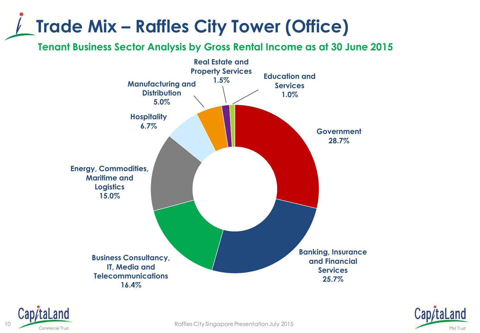## **Trade Mix – Raffles City Tower (Office)**

**Tenant Business Sector Analysis by Gross Rental Income as at 30 June 2015**







10 Commercial Trust Commercial Trust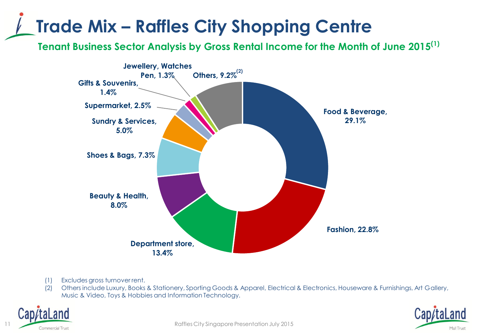## **Trade Mix – Raffles City Shopping Centre**

**Tenant Business Sector Analysis by Gross Rental Income for the Month of June 2015(1)**



- (1) Excludes gross turnover rent.
- (2) Others include Luxury, Books & Stationery, Sporting Goods & Apparel, Electrical & Electronics, Houseware & Furnishings, Art Gallery, Music & Video, Toys & Hobbies and Information Technology.